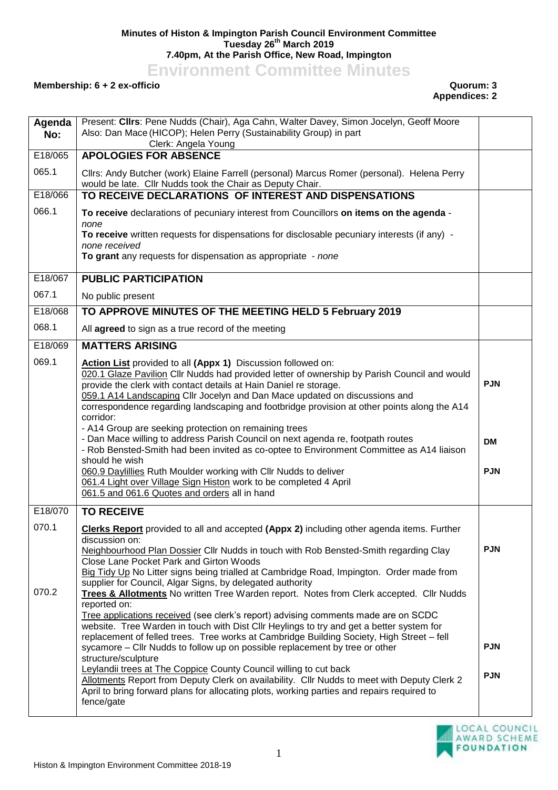## **Minutes of Histon & Impington Parish Council Environment Committee Tuesday 26th March 2019 7.40pm, At the Parish Office, New Road, Impington**

**Environment Committee Minutes**

## **Membership: 6 + 2 ex-officio Quorum: 3**

## **Appendices: 2**

| Agenda<br>No: | Present: Cllrs: Pene Nudds (Chair), Aga Cahn, Walter Davey, Simon Jocelyn, Geoff Moore<br>Also: Dan Mace (HICOP); Helen Perry (Sustainability Group) in part<br>Clerk: Angela Young                                                                                                                                                                                                                                                                                                                                                                                                                                                                                                                                                                                          |                          |
|---------------|------------------------------------------------------------------------------------------------------------------------------------------------------------------------------------------------------------------------------------------------------------------------------------------------------------------------------------------------------------------------------------------------------------------------------------------------------------------------------------------------------------------------------------------------------------------------------------------------------------------------------------------------------------------------------------------------------------------------------------------------------------------------------|--------------------------|
| E18/065       | <b>APOLOGIES FOR ABSENCE</b>                                                                                                                                                                                                                                                                                                                                                                                                                                                                                                                                                                                                                                                                                                                                                 |                          |
| 065.1         | Cllrs: Andy Butcher (work) Elaine Farrell (personal) Marcus Romer (personal). Helena Perry<br>would be late. Cllr Nudds took the Chair as Deputy Chair.                                                                                                                                                                                                                                                                                                                                                                                                                                                                                                                                                                                                                      |                          |
| E18/066       | TO RECEIVE DECLARATIONS OF INTEREST AND DISPENSATIONS                                                                                                                                                                                                                                                                                                                                                                                                                                                                                                                                                                                                                                                                                                                        |                          |
| 066.1         | To receive declarations of pecuniary interest from Councillors on items on the agenda -<br>none                                                                                                                                                                                                                                                                                                                                                                                                                                                                                                                                                                                                                                                                              |                          |
|               | To receive written requests for dispensations for disclosable pecuniary interests (if any) -                                                                                                                                                                                                                                                                                                                                                                                                                                                                                                                                                                                                                                                                                 |                          |
|               | none received                                                                                                                                                                                                                                                                                                                                                                                                                                                                                                                                                                                                                                                                                                                                                                |                          |
|               | To grant any requests for dispensation as appropriate - none                                                                                                                                                                                                                                                                                                                                                                                                                                                                                                                                                                                                                                                                                                                 |                          |
| E18/067       | <b>PUBLIC PARTICIPATION</b>                                                                                                                                                                                                                                                                                                                                                                                                                                                                                                                                                                                                                                                                                                                                                  |                          |
| 067.1         | No public present                                                                                                                                                                                                                                                                                                                                                                                                                                                                                                                                                                                                                                                                                                                                                            |                          |
| E18/068       | TO APPROVE MINUTES OF THE MEETING HELD 5 February 2019                                                                                                                                                                                                                                                                                                                                                                                                                                                                                                                                                                                                                                                                                                                       |                          |
| 068.1         | All agreed to sign as a true record of the meeting                                                                                                                                                                                                                                                                                                                                                                                                                                                                                                                                                                                                                                                                                                                           |                          |
| E18/069       | <b>MATTERS ARISING</b>                                                                                                                                                                                                                                                                                                                                                                                                                                                                                                                                                                                                                                                                                                                                                       |                          |
| 069.1         | Action List provided to all (Appx 1) Discussion followed on:<br>020.1 Glaze Pavilion Cllr Nudds had provided letter of ownership by Parish Council and would<br>provide the clerk with contact details at Hain Daniel re storage.<br>059.1 A14 Landscaping Cllr Jocelyn and Dan Mace updated on discussions and<br>correspondence regarding landscaping and footbridge provision at other points along the A14<br>corridor:<br>- A14 Group are seeking protection on remaining trees                                                                                                                                                                                                                                                                                         | <b>PJN</b>               |
|               | - Dan Mace willing to address Parish Council on next agenda re, footpath routes<br>- Rob Bensted-Smith had been invited as co-optee to Environment Committee as A14 liaison<br>should he wish<br>060.9 Daylillies Ruth Moulder working with Cllr Nudds to deliver<br>061.4 Light over Village Sign Histon work to be completed 4 April<br>061.5 and 061.6 Quotes and orders all in hand                                                                                                                                                                                                                                                                                                                                                                                      | <b>DM</b><br><b>PJN</b>  |
| E18/070       | <b>TO RECEIVE</b>                                                                                                                                                                                                                                                                                                                                                                                                                                                                                                                                                                                                                                                                                                                                                            |                          |
| 070.1         | <b>Clerks Report</b> provided to all and accepted (Appx 2) including other agenda items. Further<br>discussion on:<br>Neighbourhood Plan Dossier Cllr Nudds in touch with Rob Bensted-Smith regarding Clay<br>Close Lane Pocket Park and Girton Woods<br>Big Tidy Up No Litter signs being trialled at Cambridge Road, Impington. Order made from<br>supplier for Council, Algar Signs, by delegated authority                                                                                                                                                                                                                                                                                                                                                               | <b>PJN</b>               |
| 070.2         | Trees & Allotments No written Tree Warden report. Notes from Clerk accepted. Cllr Nudds<br>reported on:<br>Tree applications received (see clerk's report) advising comments made are on SCDC<br>website. Tree Warden in touch with Dist Cllr Heylings to try and get a better system for<br>replacement of felled trees. Tree works at Cambridge Building Society, High Street - fell<br>sycamore - Cllr Nudds to follow up on possible replacement by tree or other<br>structure/sculpture<br>Leylandii trees at The Coppice County Council willing to cut back<br>Allotments Report from Deputy Clerk on availability. Cllr Nudds to meet with Deputy Clerk 2<br>April to bring forward plans for allocating plots, working parties and repairs required to<br>fence/gate | <b>PJN</b><br><b>PJN</b> |
|               |                                                                                                                                                                                                                                                                                                                                                                                                                                                                                                                                                                                                                                                                                                                                                                              |                          |

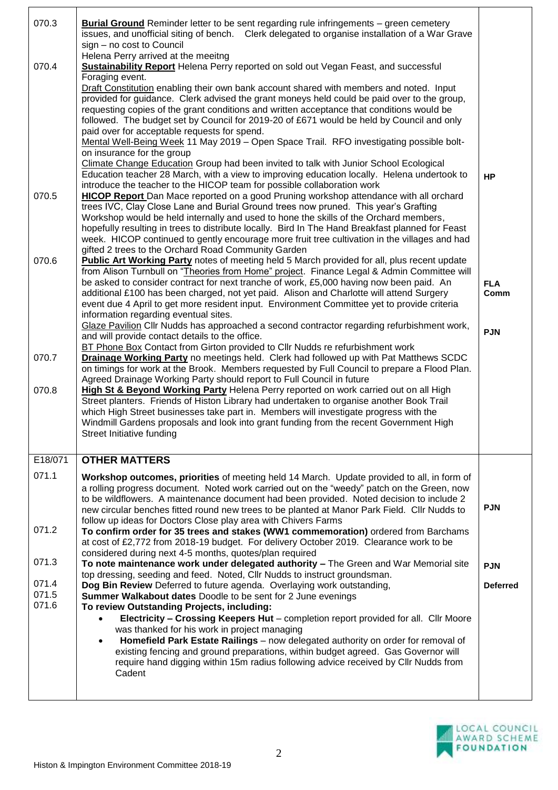| 070.3   | <b>Burial Ground</b> Reminder letter to be sent regarding rule infringements – green cemetery<br>issues, and unofficial siting of bench.  Clerk delegated to organise installation of a War Grave<br>sign - no cost to Council |                 |
|---------|--------------------------------------------------------------------------------------------------------------------------------------------------------------------------------------------------------------------------------|-----------------|
|         | Helena Perry arrived at the meeitng                                                                                                                                                                                            |                 |
| 070.4   | <b>Sustainability Report</b> Helena Perry reported on sold out Vegan Feast, and successful                                                                                                                                     |                 |
|         | Foraging event.                                                                                                                                                                                                                |                 |
|         | Draft Constitution enabling their own bank account shared with members and noted. Input<br>provided for guidance. Clerk advised the grant moneys held could be paid over to the group,                                         |                 |
|         | requesting copies of the grant conditions and written acceptance that conditions would be                                                                                                                                      |                 |
|         | followed. The budget set by Council for 2019-20 of £671 would be held by Council and only                                                                                                                                      |                 |
|         | paid over for acceptable requests for spend.                                                                                                                                                                                   |                 |
|         | Mental Well-Being Week 11 May 2019 - Open Space Trail. RFO investigating possible bolt-                                                                                                                                        |                 |
|         | on insurance for the group<br>Climate Change Education Group had been invited to talk with Junior School Ecological                                                                                                            |                 |
|         | Education teacher 28 March, with a view to improving education locally. Helena undertook to                                                                                                                                    | <b>HP</b>       |
|         | introduce the teacher to the HICOP team for possible collaboration work                                                                                                                                                        |                 |
| 070.5   | <b>HICOP Report</b> Dan Mace reported on a good Pruning workshop attendance with all orchard                                                                                                                                   |                 |
|         | trees IVC, Clay Close Lane and Burial Ground trees now pruned. This year's Grafting                                                                                                                                            |                 |
|         | Workshop would be held internally and used to hone the skills of the Orchard members,<br>hopefully resulting in trees to distribute locally. Bird In The Hand Breakfast planned for Feast                                      |                 |
|         | week. HICOP continued to gently encourage more fruit tree cultivation in the villages and had                                                                                                                                  |                 |
|         | gifted 2 trees to the Orchard Road Community Garden                                                                                                                                                                            |                 |
| 070.6   | Public Art Working Party notes of meeting held 5 March provided for all, plus recent update                                                                                                                                    |                 |
|         | from Alison Turnbull on "Theories from Home" project. Finance Legal & Admin Committee will<br>be asked to consider contract for next tranche of work, £5,000 having now been paid. An                                          | <b>FLA</b>      |
|         | additional £100 has been charged, not yet paid. Alison and Charlotte will attend Surgery                                                                                                                                       | Comm            |
|         | event due 4 April to get more resident input. Environment Committee yet to provide criteria                                                                                                                                    |                 |
|         | information regarding eventual sites.                                                                                                                                                                                          |                 |
|         | Glaze Pavilion Cllr Nudds has approached a second contractor regarding refurbishment work,<br>and will provide contact details to the office.                                                                                  | <b>PJN</b>      |
|         | BT Phone Box Contact from Girton provided to Cllr Nudds re refurbishment work                                                                                                                                                  |                 |
| 070.7   | <b>Drainage Working Party</b> no meetings held. Clerk had followed up with Pat Matthews SCDC                                                                                                                                   |                 |
|         | on timings for work at the Brook. Members requested by Full Council to prepare a Flood Plan.                                                                                                                                   |                 |
| 070.8   | Agreed Drainage Working Party should report to Full Council in future<br>High St & Beyond Working Party Helena Perry reported on work carried out on all High                                                                  |                 |
|         | Street planters. Friends of Histon Library had undertaken to organise another Book Trail                                                                                                                                       |                 |
|         | which High Street businesses take part in. Members will investigate progress with the                                                                                                                                          |                 |
|         | Windmill Gardens proposals and look into grant funding from the recent Government High<br>Street Initiative funding                                                                                                            |                 |
|         |                                                                                                                                                                                                                                |                 |
| E18/071 | <b>OTHER MATTERS</b>                                                                                                                                                                                                           |                 |
| 071.1   |                                                                                                                                                                                                                                |                 |
|         | Workshop outcomes, priorities of meeting held 14 March. Update provided to all, in form of<br>a rolling progress document. Noted work carried out on the "weedy" patch on the Green, now                                       |                 |
|         | to be wildflowers. A maintenance document had been provided. Noted decision to include 2                                                                                                                                       |                 |
|         | new circular benches fitted round new trees to be planted at Manor Park Field. Cllr Nudds to                                                                                                                                   | <b>PJN</b>      |
| 071.2   | follow up ideas for Doctors Close play area with Chivers Farms                                                                                                                                                                 |                 |
|         | To confirm order for 35 trees and stakes (WW1 commemoration) ordered from Barchams<br>at cost of £2,772 from 2018-19 budget. For delivery October 2019. Clearance work to be                                                   |                 |
|         | considered during next 4-5 months, quotes/plan required                                                                                                                                                                        |                 |
| 071.3   | To note maintenance work under delegated authority - The Green and War Memorial site                                                                                                                                           | <b>PJN</b>      |
| 071.4   | top dressing, seeding and feed. Noted, Cllr Nudds to instruct groundsman.                                                                                                                                                      |                 |
| 071.5   | Dog Bin Review Deferred to future agenda. Overlaying work outstanding,<br>Summer Walkabout dates Doodle to be sent for 2 June evenings                                                                                         | <b>Deferred</b> |
| 071.6   | To review Outstanding Projects, including:                                                                                                                                                                                     |                 |
|         | Electricity - Crossing Keepers Hut - completion report provided for all. Cllr Moore                                                                                                                                            |                 |
|         | was thanked for his work in project managing                                                                                                                                                                                   |                 |
|         | Homefield Park Estate Railings - now delegated authority on order for removal of<br>existing fencing and ground preparations, within budget agreed. Gas Governor will                                                          |                 |
|         | require hand digging within 15m radius following advice received by Cllr Nudds from                                                                                                                                            |                 |
|         | Cadent                                                                                                                                                                                                                         |                 |
|         |                                                                                                                                                                                                                                |                 |
|         |                                                                                                                                                                                                                                |                 |